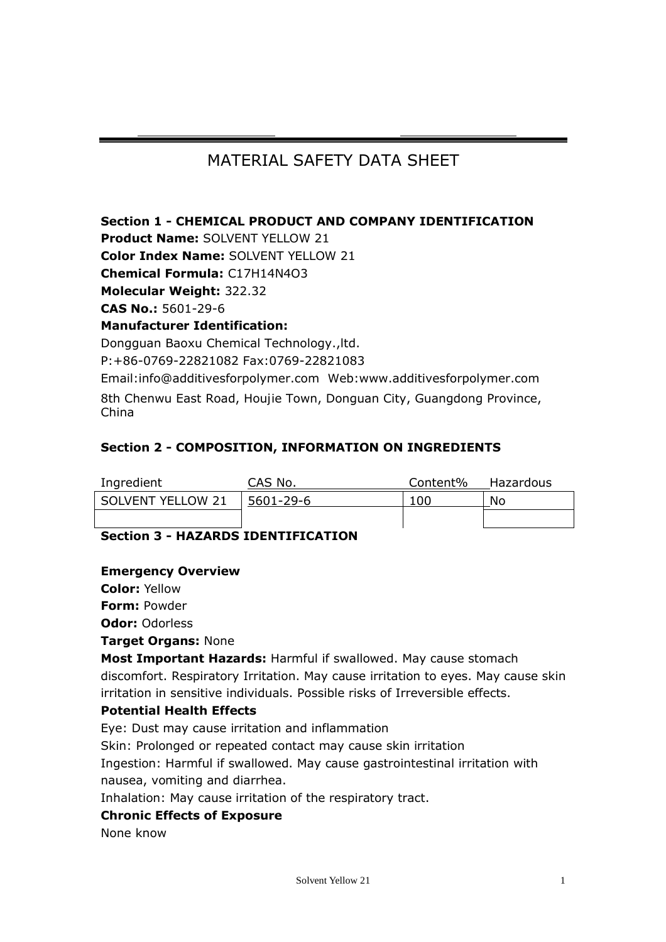# MATERIAL SAFETY DATA SHEFT

## **Section 1 - CHEMICAL PRODUCT AND COMPANY IDENTIFICATION**

**Product Name:** SOLVENT YELLOW 21

**Color Index Name:** SOLVENT YELLOW 21

**Chemical Formula:** C17H14N4O3

**Molecular Weight:** 322.32

**CAS No.:** 5601-29-6

#### **Manufacturer Identification:**

Dongguan Baoxu Chemical Technology.,ltd. P:+86-0769-22821082 Fax:0769-22821083

Email:info@additivesforpolymer.com Web:www.additivesforpolymer.com 8th Chenwu East Road, Houjie Town, Donguan City, Guangdong Province, China

## **Section 2 - COMPOSITION, INFORMATION ON INGREDIENTS**

| Ingredient        | CAS No.   | Content% | Hazardous |
|-------------------|-----------|----------|-----------|
| SOLVENT YELLOW 21 | 5601-29-6 | 100      | No        |
|                   |           |          |           |

# **Section 3 - HAZARDS IDENTIFICATION**

#### **Emergency Overview**

**Color:** Yellow

**Form:** Powder

**Odor:** Odorless

#### **Target Organs:** None

**Most Important Hazards:** Harmful if swallowed. May cause stomach discomfort. Respiratory Irritation. May cause irritation to eyes. May cause skin irritation in sensitive individuals. Possible risks of Irreversible effects.

#### **Potential Health Effects**

Eye: Dust may cause irritation and inflammation

Skin: Prolonged or repeated contact may cause skin irritation

Ingestion: Harmful if swallowed. May cause gastrointestinal irritation with nausea, vomiting and diarrhea.

Inhalation: May cause irritation of the respiratory tract.

#### **Chronic Effects of Exposure**

None know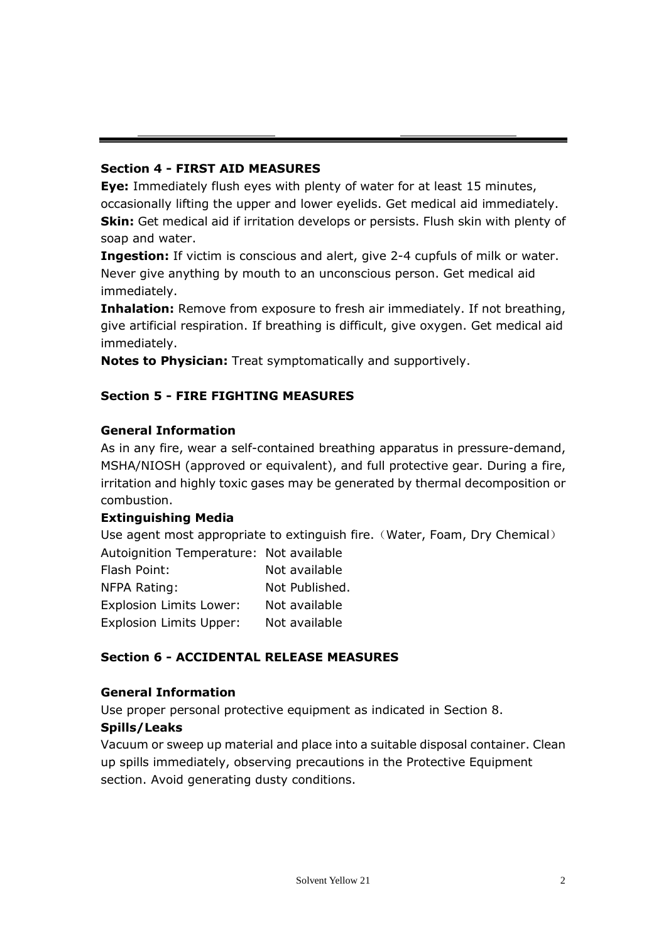## **Section 4 - FIRST AID MEASURES**

**Eye:** Immediately flush eyes with plenty of water for at least 15 minutes, occasionally lifting the upper and lower eyelids. Get medical aid immediately. **Skin:** Get medical aid if irritation develops or persists. Flush skin with plenty of soap and water.

**Ingestion:** If victim is conscious and alert, give 2-4 cupfuls of milk or water. Never give anything by mouth to an unconscious person. Get medical aid immediately.

**Inhalation:** Remove from exposure to fresh air immediately. If not breathing, give artificial respiration. If breathing is difficult, give oxygen. Get medical aid immediately.

**Notes to Physician:** Treat symptomatically and supportively.

# **Section 5 - FIRE FIGHTING MEASURES**

#### **General Information**

As in any fire, wear a self-contained breathing apparatus in pressure-demand, MSHA/NIOSH (approved or equivalent), and full protective gear. During a fire, irritation and highly toxic gases may be generated by thermal decomposition or combustion.

#### **Extinguishing Media**

Use agent most appropriate to extinguish fire. (Water, Foam, Dry Chemical) Autoignition Temperature: Not available Flash Point: Not available

| ivul avallable |
|----------------|
| Not Published. |
| Not available  |
| Not available  |
|                |

# **Section 6 - ACCIDENTAL RELEASE MEASURES**

#### **General Information**

Use proper personal protective equipment as indicated in Section 8.

#### **Spills/Leaks**

Vacuum or sweep up material and place into a suitable disposal container. Clean up spills immediately, observing precautions in the Protective Equipment section. Avoid generating dusty conditions.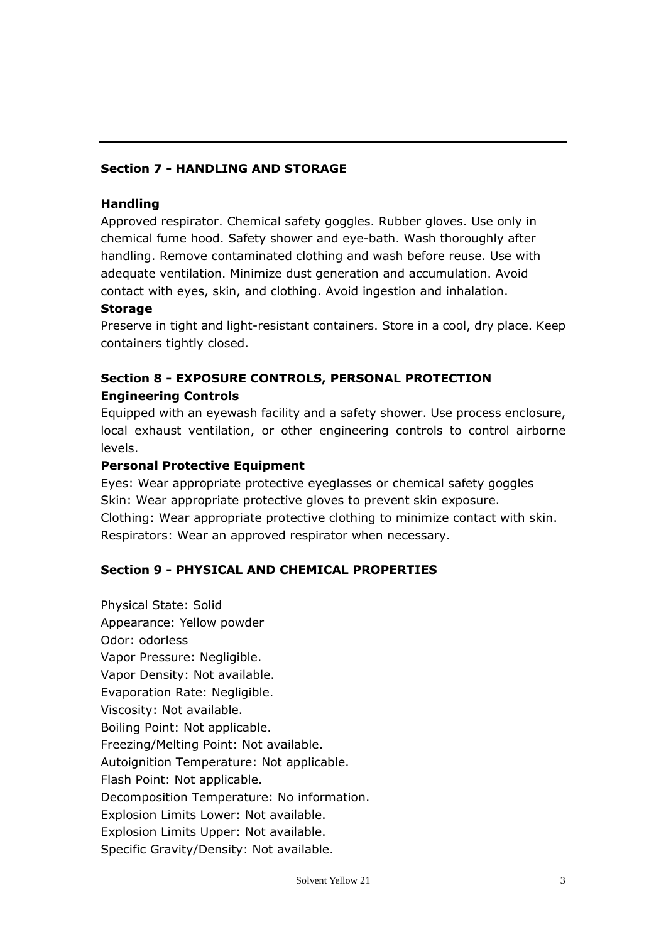## **Section 7 - HANDLING AND STORAGE**

#### **Handling**

Approved respirator. Chemical safety goggles. Rubber gloves. Use only in chemical fume hood. Safety shower and eye-bath. Wash thoroughly after handling. Remove contaminated clothing and wash before reuse. Use with adequate ventilation. Minimize dust generation and accumulation. Avoid contact with eyes, skin, and clothing. Avoid ingestion and inhalation.

#### **Storage**

Preserve in tight and light-resistant containers. Store in a cool, dry place. Keep containers tightly closed.

# **Section 8 - EXPOSURE CONTROLS, PERSONAL PROTECTION Engineering Controls**

Equipped with an eyewash facility and a safety shower. Use process enclosure, local exhaust ventilation, or other engineering controls to control airborne levels.

#### **Personal Protective Equipment**

Eyes: Wear appropriate protective eyeglasses or chemical safety goggles Skin: Wear appropriate protective gloves to prevent skin exposure. Clothing: Wear appropriate protective clothing to minimize contact with skin. Respirators: Wear an approved respirator when necessary.

#### **Section 9 - PHYSICAL AND CHEMICAL PROPERTIES**

Physical State: Solid Appearance: Yellow powder Odor: odorless Vapor Pressure: Negligible. Vapor Density: Not available. Evaporation Rate: Negligible. Viscosity: Not available. Boiling Point: Not applicable. Freezing/Melting Point: Not available. Autoignition Temperature: Not applicable. Flash Point: Not applicable. Decomposition Temperature: No information. Explosion Limits Lower: Not available. Explosion Limits Upper: Not available. Specific Gravity/Density: Not available.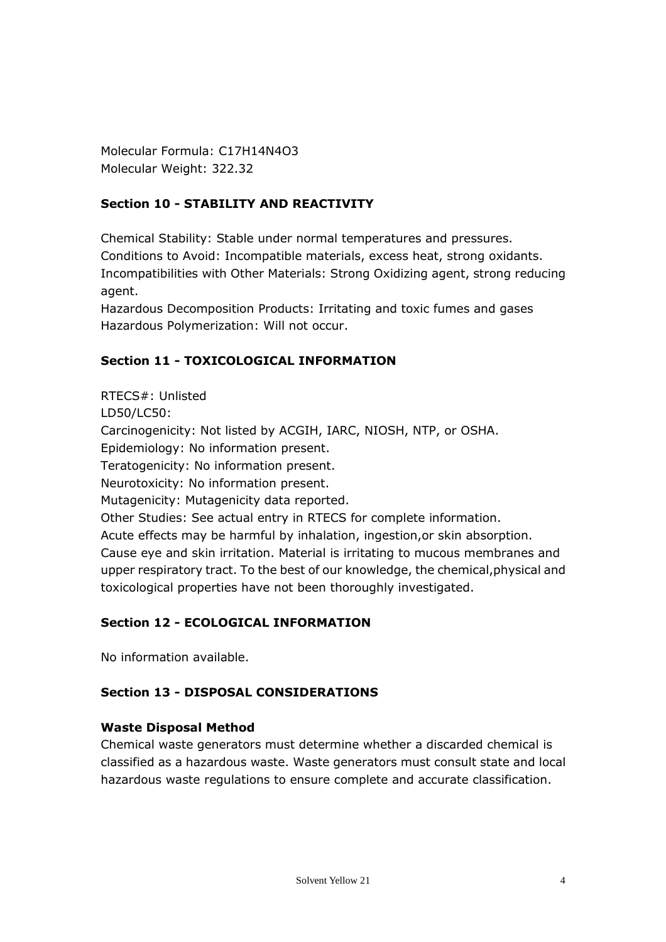Molecular Formula: C17H14N4O3 Molecular Weight: 322.32

# **Section 10 - STABILITY AND REACTIVITY**

Chemical Stability: Stable under normal temperatures and pressures. Conditions to Avoid: Incompatible materials, excess heat, strong oxidants. Incompatibilities with Other Materials: Strong Oxidizing agent, strong reducing agent.

Hazardous Decomposition Products: Irritating and toxic fumes and gases Hazardous Polymerization: Will not occur.

# **Section 11 - TOXICOLOGICAL INFORMATION**

RTECS#: Unlisted LD50/LC50: Carcinogenicity: Not listed by ACGIH, IARC, NIOSH, NTP, or OSHA. Epidemiology: No information present. Teratogenicity: No information present. Neurotoxicity: No information present. Mutagenicity: Mutagenicity data reported. Other Studies: See actual entry in RTECS for complete information. Acute effects may be harmful by inhalation, ingestion,or skin absorption. Cause eye and skin irritation. Material is irritating to mucous membranes and upper respiratory tract. To the best of our knowledge, the chemical,physical and toxicological properties have not been thoroughly investigated.

# **Section 12 - ECOLOGICAL INFORMATION**

No information available.

# **Section 13 - DISPOSAL CONSIDERATIONS**

# **Waste Disposal Method**

Chemical waste generators must determine whether a discarded chemical is classified as a hazardous waste. Waste generators must consult state and local hazardous waste regulations to ensure complete and accurate classification.